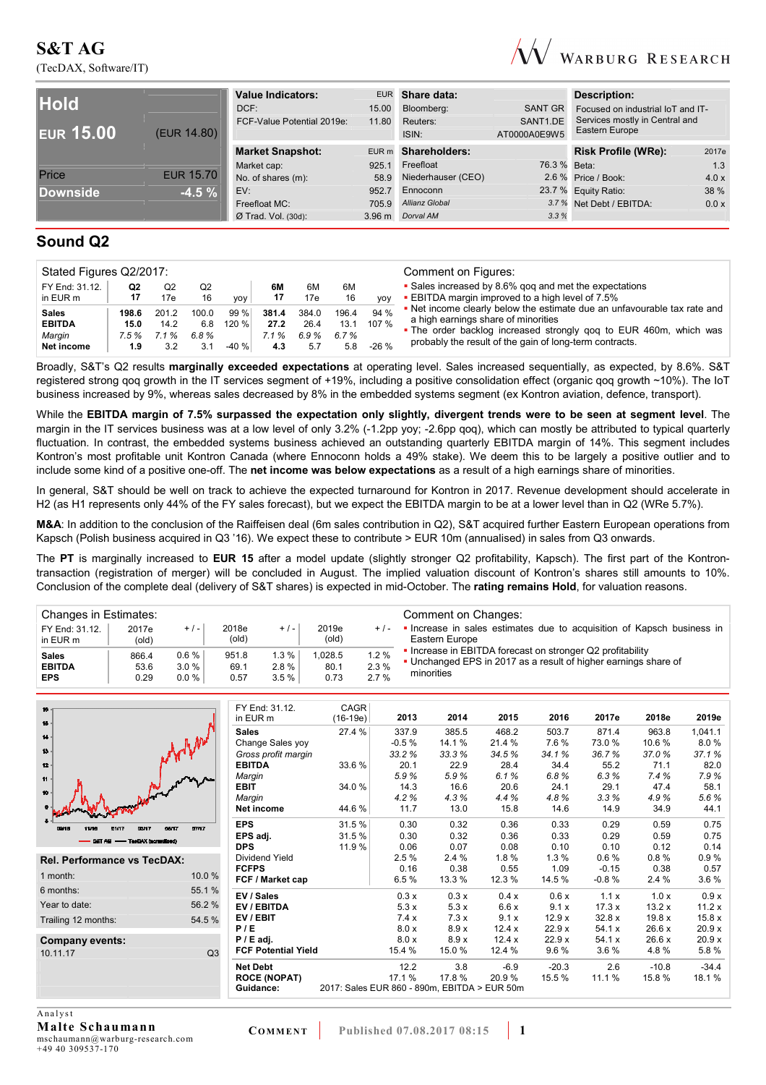(TecDAX, Software/IT)



|                  |                  | <b>Value Indicators:</b>   |       | EUR Share data:     |                | Description:                      |       |
|------------------|------------------|----------------------------|-------|---------------------|----------------|-----------------------------------|-------|
| <b>Hold</b>      |                  | DCF:                       | 15.00 | Bloomberg:          | <b>SANT GR</b> | Focused on industrial IoT and IT- |       |
|                  |                  | FCF-Value Potential 2019e: | 11.80 | Reuters:            | SANT1.DE       | Services mostly in Central and    |       |
| <b>EUR 15.00</b> | (EUR 14.80)      |                            |       | ISIN:               | AT0000A0E9W5   | Eastern Europe                    |       |
|                  |                  | <b>Market Snapshot:</b>    |       | EUR m Shareholders: |                | <b>Risk Profile (WRe):</b>        | 2017e |
|                  |                  | Market cap:                | 925.1 | Freefloat           | 76.3 % Beta:   |                                   | 1.3   |
| Price            | <b>EUR 15.70</b> | No. of shares (m):         | 58.9  | Niederhauser (CEO)  |                | 2.6 % Price / Book:               | 4.0x  |
| <b>Downside</b>  | $-4.5 \%$        | EV:                        | 952.7 | Ennoconn            |                | 23.7 % Equity Ratio:              | 38 %  |
|                  |                  | Freefloat MC:              | 705.9 | Allianz Global      |                | 3.7% Net Debt / EBITDA:           | 0.0 x |
|                  |                  | $Ø$ Trad. Vol. (30d):      |       | 3.96 m Dorval AM    | 3.3%           |                                   |       |

## **Sound Q2**

| Stated Figures Q2/2017:                               |                              |                              |                             |                        |                              |                              |                              |                         | Comment on Figures:                                                                                                                                                                                                                             |
|-------------------------------------------------------|------------------------------|------------------------------|-----------------------------|------------------------|------------------------------|------------------------------|------------------------------|-------------------------|-------------------------------------------------------------------------------------------------------------------------------------------------------------------------------------------------------------------------------------------------|
| FY End: 31.12.<br>in EUR m                            | Q2<br>17                     | Q2<br>17e                    | Q2<br>16                    | yoy                    | 6M<br>17                     | 6M<br>17e                    | 6M<br>16                     | <b>VOV</b>              | • Sales increased by 8.6% gog and met the expectations<br>• EBITDA margin improved to a high level of 7.5%                                                                                                                                      |
| <b>Sales</b><br><b>EBITDA</b><br>Margin<br>Net income | 198.6<br>15.0<br>7.5%<br>1.9 | 201.2<br>14.2<br>7.1%<br>3.2 | 100.0<br>6.8<br>6.8%<br>3.1 | 99%<br>120 %<br>$-40%$ | 381.4<br>27.2<br>7.1%<br>4.3 | 384.0<br>26.4<br>6.9%<br>5.7 | 196.4<br>13.1<br>6.7%<br>5.8 | 94 %<br>107 %<br>$-26%$ | • Net income clearly below the estimate due an unfavourable tax rate and<br>a high earnings share of minorities<br>. The order backlog increased strongly qoq to EUR 460m, which was<br>probably the result of the gain of long-term contracts. |

Broadly, S&T's Q2 results **marginally exceeded expectations** at operating level. Sales increased sequentially, as expected, by 8.6%. S&T registered strong gog growth in the IT services segment of +19%, including a positive consolidation effect (organic gog growth ~10%). The IoT business increased by 9%, whereas sales decreased by 8% in the embedded systems segment (ex Kontron aviation, defence, transport).

While the **EBITDA margin of 7.5% surpassed the expectation only slightly, divergent trends were to be seen at segment level**. The margin in the IT services business was at a low level of only 3.2% (-1.2pp yoy; -2.6pp qoq), which can mostly be attributed to typical quarterly fluctuation. In contrast, the embedded systems business achieved an outstanding quarterly EBITDA margin of 14%. This segment includes Kontron's most profitable unit Kontron Canada (where Ennoconn holds a 49% stake). We deem this to be largely a positive outlier and to include some kind of a positive one-off. The **net income was below expectations** as a result of a high earnings share of minorities.

In general, S&T should be well on track to achieve the expected turnaround for Kontron in 2017. Revenue development should accelerate in H2 (as H1 represents only 44% of the FY sales forecast), but we expect the EBITDA margin to be at a lower level than in Q2 (WRe 5.7%).

**M&A**: In addition to the conclusion of the Raiffeisen deal (6m sales contribution in Q2), S&T acquired further Eastern European operations from Kapsch (Polish business acquired in Q3 '16). We expect these to contribute > EUR 10m (annualised) in sales from Q3 onwards.

The **PT** is marginally increased to **EUR 15** after a model update (slightly stronger Q2 profitability, Kapsch). The first part of the Kontrontransaction (registration of merger) will be concluded in August. The implied valuation discount of Kontron's shares still amounts to 10%. Conclusion of the complete deal (delivery of S&T shares) is expected in mid-October. The **rating remains Hold**, for valuation reasons.

| Changes in Estimates:                       |                         |                             |                       |                         |                         |                      | Comment on Changes:                                                                                                                         |
|---------------------------------------------|-------------------------|-----------------------------|-----------------------|-------------------------|-------------------------|----------------------|---------------------------------------------------------------------------------------------------------------------------------------------|
| FY End: 31.12.<br>in EUR m                  | 2017e<br>$\text{(old)}$ | $+/-$                       | 2018e<br>(old)        | $+$ / -                 | 2019e<br>(old)          | $+/-$                | Increase in sales estimates due to acquisition of Kapsch business in<br>Eastern Europe                                                      |
| <b>Sales</b><br><b>EBITDA</b><br><b>EPS</b> | 866.4<br>53.6<br>0.29   | $0.6\%$<br>3.0%<br>$0.0 \%$ | 951.8<br>69.1<br>0.57 | $1.3\%$<br>2.8%<br>3.5% | 1.028.5<br>80.1<br>0.73 | 1.2%<br>2.3%<br>2.7% | • Increase in EBITDA forecast on stronger Q2 profitability<br>• Unchanged EPS in 2017 as a result of higher earnings share of<br>minorities |

| 16                                               |        | FY End: 31.12.             | <b>CAGR</b> | 2013                                         | 2014   | 2015   | 2016    | 2017e   | 2018e   | 2019e   |
|--------------------------------------------------|--------|----------------------------|-------------|----------------------------------------------|--------|--------|---------|---------|---------|---------|
| $15 -$                                           |        | in EUR m                   | $(16-19e)$  |                                              |        |        |         |         |         |         |
| 14.1                                             |        | <b>Sales</b>               | 27.4 %      | 337.9                                        | 385.5  | 468.2  | 503.7   | 871.4   | 963.8   | 1,041.1 |
| 13.                                              |        | Change Sales yoy           |             | $-0.5%$                                      | 14.1 % | 21.4 % | 7.6%    | 73.0%   | 10.6%   | 8.0%    |
|                                                  |        | Gross profit margin        |             | 33.2%                                        | 33.3%  | 34.5%  | 34.1%   | 36.7%   | 37.0%   | 37.1%   |
| 12.5                                             |        | <b>EBITDA</b>              | 33.6%       | 20.1                                         | 22.9   | 28.4   | 34.4    | 55.2    | 71.1    | 82.0    |
| $11 -$                                           |        | Margin                     |             | 5.9%                                         | 5.9%   | 6.1%   | 6.8%    | 6.3%    | 7.4%    | 7.9%    |
| 10 <sub>1</sub>                                  |        | <b>EBIT</b>                | 34.0%       | 14.3                                         | 16.6   | 20.6   | 24.1    | 29.1    | 47.4    | 58.1    |
|                                                  |        | Margin                     |             | 4.2%                                         | 4.3%   | 4.4%   | 4.8%    | 3.3%    | 4.9%    | 5.6%    |
|                                                  |        | Net income                 | 44.6%       | 11.7                                         | 13.0   | 15.8   | 14.6    | 14.9    | 34.9    | 44.1    |
| <b>DEV10</b><br>06/17<br>03/17<br>11/16<br>01/17 | 07/17  | <b>EPS</b>                 | 31.5 %      | 0.30                                         | 0.32   | 0.36   | 0.33    | 0.29    | 0.59    | 0.75    |
| - S&T AG - TeoDAX (normalised)                   |        | EPS adj.                   | 31.5%       | 0.30                                         | 0.32   | 0.36   | 0.33    | 0.29    | 0.59    | 0.75    |
|                                                  |        | <b>DPS</b>                 | 11.9%       | 0.06                                         | 0.07   | 0.08   | 0.10    | 0.10    | 0.12    | 0.14    |
| Rel. Performance vs TecDAX:                      |        | Dividend Yield             |             | 2.5%                                         | 2.4%   | 1.8%   | 1.3%    | 0.6%    | 0.8%    | 0.9%    |
|                                                  |        | <b>FCFPS</b>               |             | 0.16                                         | 0.38   | 0.55   | 1.09    | $-0.15$ | 0.38    | 0.57    |
| 1 month:                                         | 10.0%  | FCF / Market cap           |             | 6.5%                                         | 13.3 % | 12.3 % | 14.5 %  | $-0.8%$ | 2.4%    | 3.6%    |
| 6 months:                                        | 55.1 % | EV / Sales                 |             | 0.3x                                         | 0.3x   | 0.4x   | 0.6x    | 1.1x    | 1.0x    | 0.9x    |
| Year to date:                                    | 56.2%  | EV / EBITDA                |             | 5.3x                                         | 5.3x   | 6.6x   | 9.1 x   | 17.3x   | 13.2x   | 11.2x   |
| Trailing 12 months:                              | 54.5 % | EV / EBIT                  |             | 7.4x                                         | 7.3x   | 9.1x   | 12.9x   | 32.8x   | 19.8 x  | 15.8x   |
|                                                  |        | P/E                        |             | 8.0 x                                        | 8.9x   | 12.4x  | 22.9x   | 54.1x   | 26.6x   | 20.9x   |
| <b>Company events:</b>                           |        | $P / E$ adj.               |             | 8.0 x                                        | 8.9x   | 12.4x  | 22.9x   | 54.1x   | 26.6x   | 20.9x   |
| 10.11.17                                         | Q3     | <b>FCF Potential Yield</b> |             | 15.4 %                                       | 15.0%  | 12.4 % | 9.6%    | 3.6%    | 4.8%    | 5.8%    |
|                                                  |        | <b>Net Debt</b>            |             | 12.2                                         | 3.8    | $-6.9$ | $-20.3$ | 2.6     | $-10.8$ | $-34.4$ |
|                                                  |        | <b>ROCE (NOPAT)</b>        |             | 17.1 %                                       | 17.8%  | 20.9%  | 15.5 %  | 11.1%   | 15.8%   | 18.1%   |
|                                                  |        | Guidance:                  |             | 2017: Sales EUR 860 - 890m, EBITDA > EUR 50m |        |        |         |         |         |         |
|                                                  |        |                            |             |                                              |        |        |         |         |         |         |

A n a l y s t **Malte Schaumann**  mschaumann@warburg-research.com +49 40 309537-170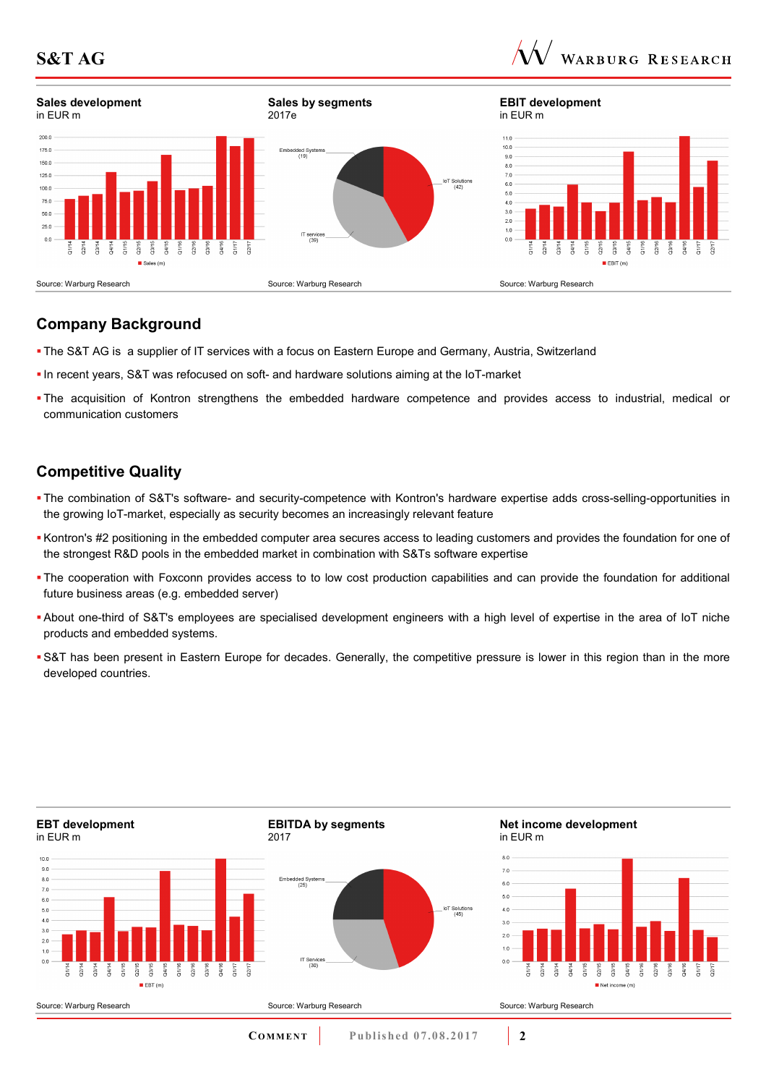



# **Company Background**

- The S&T AG is a supplier of IT services with a focus on Eastern Europe and Germany, Austria, Switzerland
- In recent years, S&T was refocused on soft- and hardware solutions aiming at the IoT-market
- The acquisition of Kontron strengthens the embedded hardware competence and provides access to industrial, medical or communication customers

# **Competitive Quality**

- The combination of S&T's software- and security-competence with Kontron's hardware expertise adds cross-selling-opportunities in the growing IoT-market, especially as security becomes an increasingly relevant feature
- Kontron's #2 positioning in the embedded computer area secures access to leading customers and provides the foundation for one of the strongest R&D pools in the embedded market in combination with S&Ts software expertise
- The cooperation with Foxconn provides access to to low cost production capabilities and can provide the foundation for additional future business areas (e.g. embedded server)
- About one-third of S&T's employees are specialised development engineers with a high level of expertise in the area of IoT niche products and embedded systems.
- S&T has been present in Eastern Europe for decades. Generally, the competitive pressure is lower in this region than in the more developed countries.

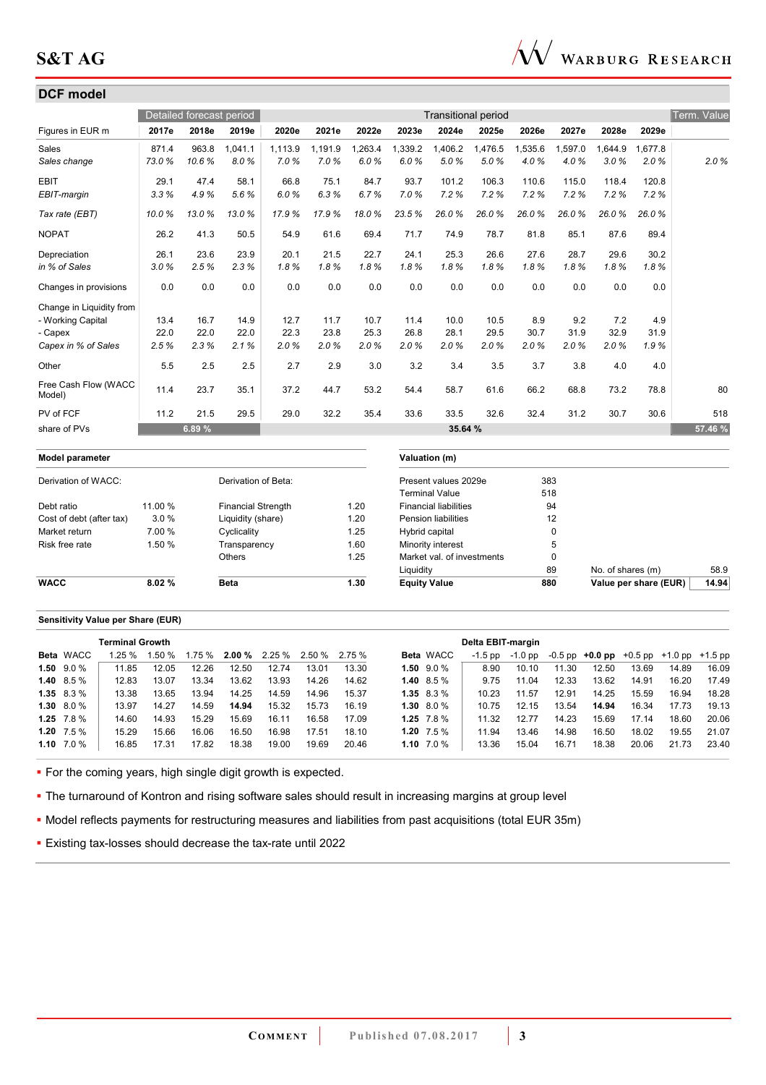

| <b>DCF</b> model               |         |                          |                           |         |         |         |                     |                              |                            |         |             |                       |         |             |
|--------------------------------|---------|--------------------------|---------------------------|---------|---------|---------|---------------------|------------------------------|----------------------------|---------|-------------|-----------------------|---------|-------------|
|                                |         | Detailed forecast period |                           |         |         |         |                     |                              | <b>Transitional period</b> |         |             |                       |         | Term. Value |
| Figures in EUR m               | 2017e   | 2018e                    | 2019e                     | 2020e   | 2021e   | 2022e   | 2023e               | 2024e                        | 2025e                      | 2026e   | 2027e       | 2028e                 | 2029e   |             |
| Sales                          | 871.4   | 963.8                    | 1,041.1                   | 1,113.9 | 1,191.9 | 1,263.4 | 1,339.2             | 1,406.2                      | 1,476.5                    | 1,535.6 | 1,597.0     | 1,644.9               | 1,677.8 |             |
| Sales change                   | 73.0%   | 10.6%                    | 8.0%                      | 7.0%    | 7.0%    | 6.0%    | 6.0%                | 5.0%                         | 5.0%                       | 4.0%    | 4.0%        | 3.0%                  | 2.0%    | 2.0%        |
| <b>EBIT</b>                    | 29.1    | 47.4                     | 58.1                      | 66.8    | 75.1    | 84.7    | 93.7                | 101.2                        | 106.3                      | 110.6   | 115.0       | 118.4                 | 120.8   |             |
| EBIT-margin                    | 3.3%    | 4.9%                     | 5.6%                      | 6.0%    | 6.3%    | 6.7%    | 7.0%                | 7.2%                         | 7.2%                       | 7.2%    | 7.2%        | 7.2%                  | 7.2%    |             |
| Tax rate (EBT)                 | 10.0%   | 13.0%                    | 13.0%                     | 17.9%   | 17.9%   | 18.0%   | 23.5%               | 26.0%                        | 26.0%                      | 26.0%   | 26.0%       | 26.0%                 | 26.0%   |             |
| <b>NOPAT</b>                   | 26.2    | 41.3                     | 50.5                      | 54.9    | 61.6    | 69.4    | 71.7                | 74.9                         | 78.7                       | 81.8    | 85.1        | 87.6                  | 89.4    |             |
| Depreciation                   | 26.1    | 23.6                     | 23.9                      | 20.1    | 21.5    | 22.7    | 24.1                | 25.3                         | 26.6                       | 27.6    | 28.7        | 29.6                  | 30.2    |             |
| in % of Sales                  | 3.0%    | 2.5%                     | 2.3%                      | 1.8%    | 1.8%    | 1.8%    | 1.8%                | 1.8%                         | 1.8%                       | 1.8%    | 1.8%        | 1.8%                  | 1.8%    |             |
| Changes in provisions          | 0.0     | 0.0                      | 0.0                       | 0.0     | 0.0     | 0.0     | 0.0                 | 0.0                          | 0.0                        | 0.0     | 0.0         | 0.0                   | 0.0     |             |
| Change in Liquidity from       |         |                          |                           |         |         |         |                     |                              |                            |         |             |                       |         |             |
| - Working Capital              | 13.4    | 16.7                     | 14.9                      | 12.7    | 11.7    | 10.7    | 11.4                | 10.0                         | 10.5                       | 8.9     | 9.2         | 7.2                   | 4.9     |             |
| - Capex                        | 22.0    | 22.0                     | 22.0                      | 22.3    | 23.8    | 25.3    | 26.8                | 28.1                         | 29.5                       | 30.7    | 31.9        | 32.9                  | 31.9    |             |
| Capex in % of Sales            | 2.5%    | 2.3%                     | 2.1%                      | 2.0%    | 2.0%    | 2.0%    | 2.0%                | 2.0%                         | 2.0%                       | 2.0%    | 2.0%        | 2.0%                  | 1.9%    |             |
| Other                          | 5.5     | 2.5                      | 2.5                       | 2.7     | 2.9     | 3.0     | 3.2                 | 3.4                          | 3.5                        | 3.7     | 3.8         | 4.0                   | 4.0     |             |
| Free Cash Flow (WACC<br>Model) | 11.4    | 23.7                     | 35.1                      | 37.2    | 44.7    | 53.2    | 54.4                | 58.7                         | 61.6                       | 66.2    | 68.8        | 73.2                  | 78.8    | 80          |
| PV of FCF                      | 11.2    | 21.5                     | 29.5                      | 29.0    | 32.2    | 35.4    | 33.6                | 33.5                         | 32.6                       | 32.4    | 31.2        | 30.7                  | 30.6    | 518         |
| share of PVs                   |         | 6.89%                    |                           |         |         |         |                     | 35.64 %                      |                            |         |             |                       |         | 57.46 %     |
| Model parameter                |         |                          |                           |         |         |         |                     | Valuation (m)                |                            |         |             |                       |         |             |
| Derivation of WACC:            |         |                          | Derivation of Beta:       |         |         |         |                     | Present values 2029e         |                            | 383     |             |                       |         |             |
|                                |         |                          |                           |         |         |         |                     | <b>Terminal Value</b>        |                            | 518     |             |                       |         |             |
| Debt ratio                     | 11.00 % |                          | <b>Financial Strength</b> |         |         | 1.20    |                     | <b>Financial liabilities</b> |                            |         | 94          |                       |         |             |
| Cost of debt (after tax)       | 3.0%    |                          | Liquidity (share)         |         |         | 1.20    |                     | <b>Pension liabilities</b>   |                            |         | 12          |                       |         |             |
| Market return                  | 7.00 %  |                          | Cyclicality               |         |         | 1.25    | Hybrid capital      |                              |                            |         | $\mathbf 0$ |                       |         |             |
| Risk free rate                 | 1.50 %  |                          | Transparency              |         |         | 1.60    |                     | Minority interest            |                            |         | 5           |                       |         |             |
|                                |         |                          | Others                    |         |         | 1.25    |                     | Market val. of investments   |                            |         | $\mathbf 0$ |                       |         |             |
|                                |         |                          |                           |         |         |         | Liquidity           |                              |                            |         | 89          | No. of shares (m)     |         | 58.9        |
| <b>WACC</b>                    | 8.02%   |                          | <b>Beta</b>               |         |         | 1.30    | <b>Equity Value</b> |                              |                            | 880     |             | Value per share (EUR) |         | 14.94       |

#### **Sensitivity Value per Share (EUR)**

|                   | <b>Terminal Growth</b> |        |       |                                      |       |       |       |                  | Delta EBIT-margin |         |       |                                                   |       |       |       |
|-------------------|------------------------|--------|-------|--------------------------------------|-------|-------|-------|------------------|-------------------|---------|-------|---------------------------------------------------|-------|-------|-------|
| <b>Beta WACC</b>  | $1.25 \%$              | 1.50 % |       | $1.75\%$ 2.00 % 2.25 % 2.50 % 2.75 % |       |       |       | <b>Beta WACC</b> | -1.5 pp           | -1.0 pp |       | $-0.5$ pp $+0.0$ pp $+0.5$ pp $+1.0$ pp $+1.5$ pp |       |       |       |
| $1.50$ $9.0\%$    | 11.85                  | 12.05  | 12.26 | 12.50                                | 12.74 | 13.01 | 13.30 | $1.50$ $9.0\%$   | 8.90              | 10.10   | 11.30 | 12.50                                             | 13.69 | 14.89 | 16.09 |
| 1.40 $8.5\%$      | 12.83                  | 13.07  | 13.34 | 13.62                                | 13.93 | 14.26 | 14.62 | 1.40 $8.5\%$     | 9.75              | 11.04   | 12.33 | 13.62                                             | 14.91 | 16.20 | 17.49 |
| $1.35$ 8.3 %      | 13.38                  | 13.65  | 13.94 | 14.25                                | 14.59 | 14.96 | 15.37 | $1.35$ 8.3 %     | 10.23             | 11.57   | 12.91 | 14.25                                             | 15.59 | 16.94 | 18.28 |
| $1.30\quad 8.0\%$ | 13.97                  | 14.27  | 14.59 | 14.94                                | 15.32 | 15.73 | 16.19 | 1.30 $8.0\%$     | 10 75             | 12.15   | 13.54 | 14.94                                             | 16.34 | 17.73 | 19.13 |
| $1.25$ 7.8 %      | 14.60                  | 14.93  | 15.29 | 15.69                                | 16.11 | 16.58 | 17.09 | $1.25$ 7.8 %     | 11.32             | 12.77   | 14.23 | 15.69                                             | 17.14 | 18.60 | 20.06 |
| 1.20 $7.5\%$      | 15.29                  | 15.66  | 16.06 | 16.50                                | 16.98 | 17.51 | 18.10 | 1.20 $7.5\%$     | 11.94             | 13.46   | 14.98 | 16.50                                             | 18.02 | 19.55 | 21.07 |
| 1.10 $7.0\%$      | 16.85                  | 17.31  | 17.82 | 18.38                                | 19.00 | 19.69 | 20.46 | 1.10 $7.0\%$     | 13.36             | 15.04   | 16.71 | 18.38                                             | 20.06 | 21.73 | 23.40 |

**For the coming years, high single digit growth is expected.** 

The turnaround of Kontron and rising software sales should result in increasing margins at group level

Model reflects payments for restructuring measures and liabilities from past acquisitions (total EUR 35m)

Existing tax-losses should decrease the tax-rate until 2022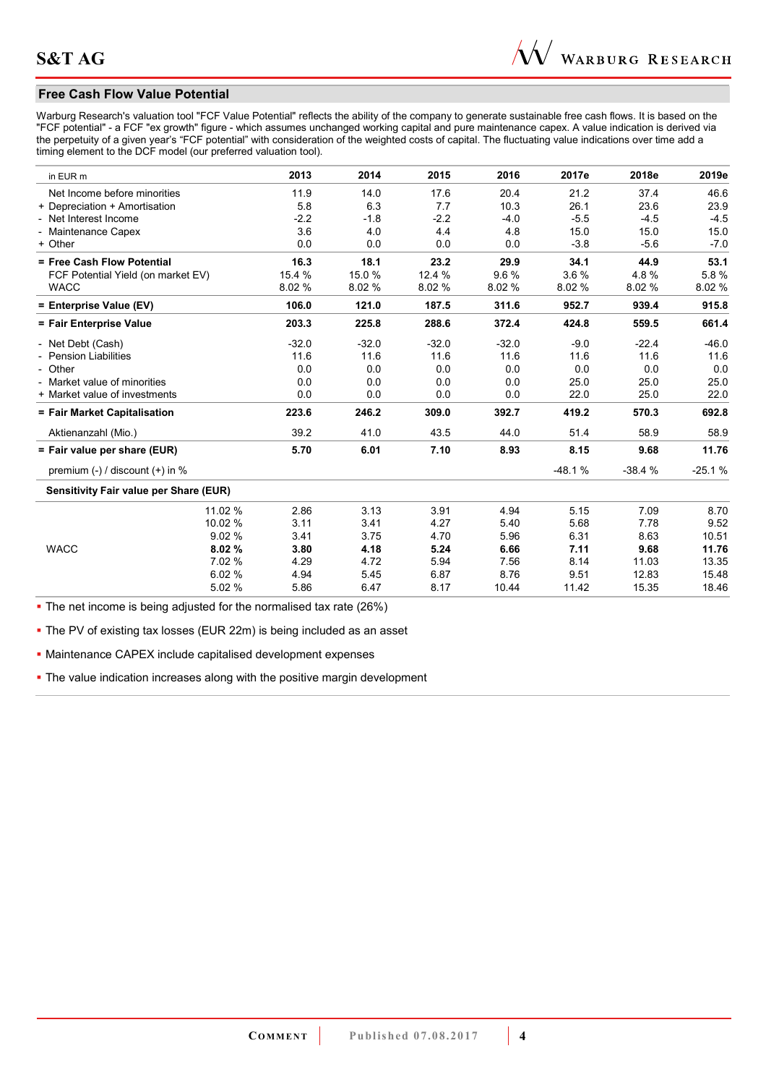## **Free Cash Flow Value Potential**

Warburg Research's valuation tool "FCF Value Potential" reflects the ability of the company to generate sustainable free cash flows. It is based on the "FCF potential" - a FCF "ex growth" figure - which assumes unchanged working capital and pure maintenance capex. A value indication is derived via the perpetuity of a given year's "FCF potential" with consideration of the weighted costs of capital. The fluctuating value indications over time add a timing element to the DCF model (our preferred valuation tool).

 $\overline{\mathcal{N}}$  Warburg Research

| in EUR m                               | 2013    | 2014    | 2015    | 2016    | 2017e    | 2018e    | 2019e    |
|----------------------------------------|---------|---------|---------|---------|----------|----------|----------|
| Net Income before minorities           | 11.9    | 14.0    | 17.6    | 20.4    | 21.2     | 37.4     | 46.6     |
| + Depreciation + Amortisation          | 5.8     | 6.3     | 7.7     | 10.3    | 26.1     | 23.6     | 23.9     |
| - Net Interest Income                  | $-2.2$  | $-1.8$  | $-2.2$  | $-4.0$  | $-5.5$   | $-4.5$   | $-4.5$   |
| Maintenance Capex                      | 3.6     | 4.0     | 4.4     | 4.8     | 15.0     | 15.0     | 15.0     |
| + Other                                | 0.0     | 0.0     | 0.0     | 0.0     | $-3.8$   | $-5.6$   | $-7.0$   |
| = Free Cash Flow Potential             | 16.3    | 18.1    | 23.2    | 29.9    | 34.1     | 44.9     | 53.1     |
| FCF Potential Yield (on market EV)     | 15.4 %  | 15.0%   | 12.4 %  | 9.6%    | 3.6%     | 4.8%     | 5.8%     |
| <b>WACC</b>                            | 8.02%   | 8.02%   | 8.02%   | 8.02%   | 8.02%    | 8.02%    | 8.02%    |
| = Enterprise Value (EV)                | 106.0   | 121.0   | 187.5   | 311.6   | 952.7    | 939.4    | 915.8    |
| = Fair Enterprise Value                | 203.3   | 225.8   | 288.6   | 372.4   | 424.8    | 559.5    | 661.4    |
| - Net Debt (Cash)                      | $-32.0$ | $-32.0$ | $-32.0$ | $-32.0$ | $-9.0$   | $-22.4$  | $-46.0$  |
| <b>Pension Liabilities</b>             | 11.6    | 11.6    | 11.6    | 11.6    | 11.6     | 11.6     | 11.6     |
| - Other                                | 0.0     | 0.0     | 0.0     | 0.0     | 0.0      | 0.0      | 0.0      |
| - Market value of minorities           | 0.0     | 0.0     | 0.0     | 0.0     | 25.0     | 25.0     | 25.0     |
| + Market value of investments          | 0.0     | 0.0     | 0.0     | 0.0     | 22.0     | 25.0     | 22.0     |
| = Fair Market Capitalisation           | 223.6   | 246.2   | 309.0   | 392.7   | 419.2    | 570.3    | 692.8    |
| Aktienanzahl (Mio.)                    | 39.2    | 41.0    | 43.5    | 44.0    | 51.4     | 58.9     | 58.9     |
| = Fair value per share (EUR)           | 5.70    | 6.01    | 7.10    | 8.93    | 8.15     | 9.68     | 11.76    |
| premium $(-)$ / discount $(+)$ in %    |         |         |         |         | $-48.1%$ | $-38.4%$ | $-25.1%$ |
| Sensitivity Fair value per Share (EUR) |         |         |         |         |          |          |          |
| 11.02 %                                | 2.86    | 3.13    | 3.91    | 4.94    | 5.15     | 7.09     | 8.70     |
| 10.02 %                                | 3.11    | 3.41    | 4.27    | 5.40    | 5.68     | 7.78     | 9.52     |
| 9.02%                                  | 3.41    | 3.75    | 4.70    | 5.96    | 6.31     | 8.63     | 10.51    |
| <b>WACC</b><br>8.02%                   | 3.80    | 4.18    | 5.24    | 6.66    | 7.11     | 9.68     | 11.76    |
| 7.02%                                  | 4.29    | 4.72    | 5.94    | 7.56    | 8.14     | 11.03    | 13.35    |
| 6.02%                                  | 4.94    | 5.45    | 6.87    | 8.76    | 9.51     | 12.83    | 15.48    |
| 5.02%                                  | 5.86    | 6.47    | 8.17    | 10.44   | 11.42    | 15.35    | 18.46    |

• The net income is being adjusted for the normalised tax rate (26%)

**The PV of existing tax losses (EUR 22m) is being included as an asset** 

Maintenance CAPEX include capitalised development expenses

The value indication increases along with the positive margin development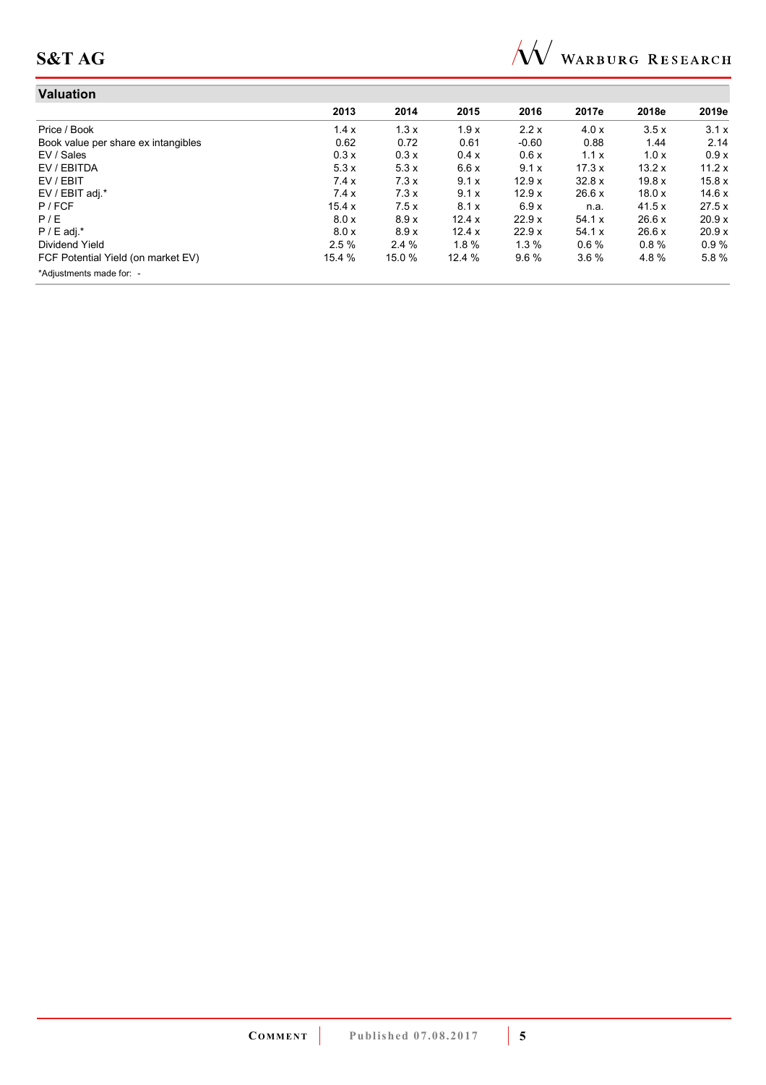

| Valuation                           |        |        |       |         |         |        |        |
|-------------------------------------|--------|--------|-------|---------|---------|--------|--------|
|                                     | 2013   | 2014   | 2015  | 2016    | 2017e   | 2018e  | 2019e  |
| Price / Book                        | 1.4x   | 1.3x   | 1.9x  | 2.2x    | 4.0x    | 3.5x   | 3.1x   |
| Book value per share ex intangibles | 0.62   | 0.72   | 0.61  | $-0.60$ | 0.88    | 1.44   | 2.14   |
| EV / Sales                          | 0.3x   | 0.3x   | 0.4 x | 0.6x    | 1.1x    | 1.0x   | 0.9x   |
| EV / EBITDA                         | 5.3x   | 5.3x   | 6.6x  | 9.1x    | 17.3x   | 13.2x  | 11.2x  |
| EV / EBIT                           | 7.4x   | 7.3x   | 9.1x  | 12.9x   | 32.8 x  | 19.8 x | 15.8x  |
| EV / EBIT adj.*                     | 7.4x   | 7.3x   | 9.1x  | 12.9x   | 26.6x   | 18.0x  | 14.6x  |
| P / FCF                             | 15.4 x | 7.5x   | 8.1x  | 6.9x    | n.a.    | 41.5x  | 27.5x  |
| P/E                                 | 8.0 x  | 8.9x   | 12.4x | 22.9 x  | 54.1 x  | 26.6x  | 20.9 x |
| $P / E$ adj.*                       | 8.0 x  | 8.9x   | 12.4x | 22.9 x  | 54.1 x  | 26.6x  | 20.9x  |
| Dividend Yield                      | 2.5%   | 2.4%   | 1.8%  | $1.3\%$ | $0.6\%$ | 0.8%   | 0.9%   |
| FCF Potential Yield (on market EV)  | 15.4 % | 15.0 % | 12.4% | $9.6\%$ | $3.6\%$ | 4.8%   | 5.8%   |
| *Adjustments made for: -            |        |        |       |         |         |        |        |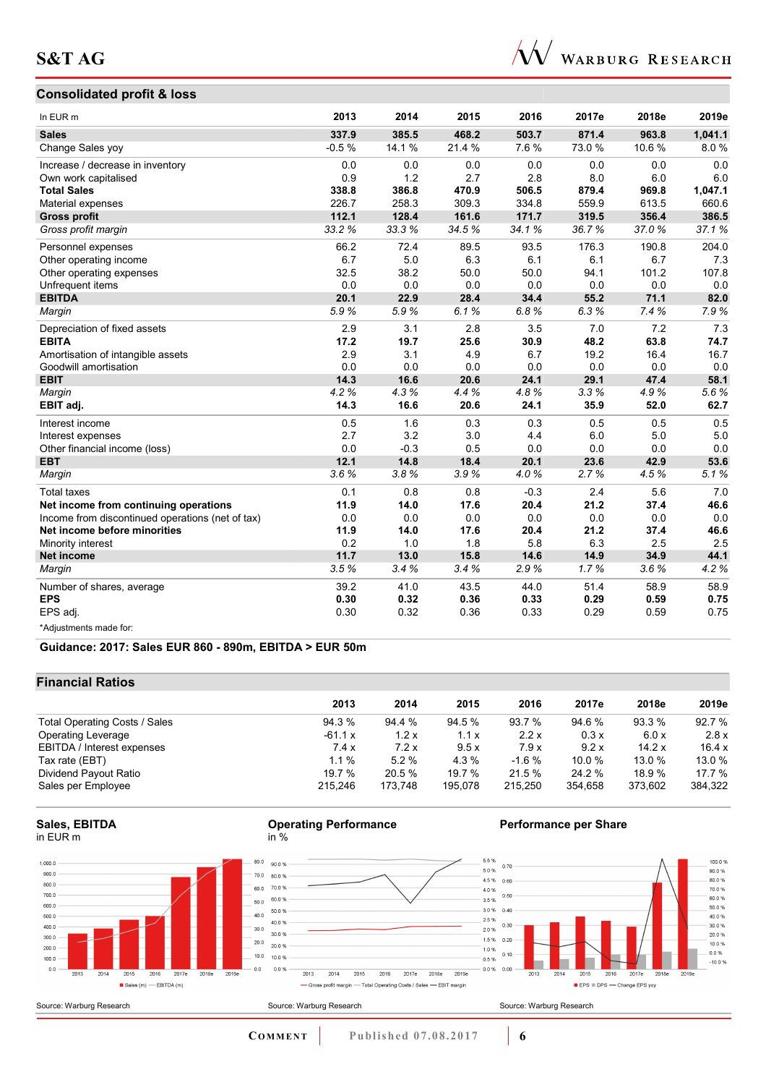

## **Consolidated profit & loss**

| In EUR <sub>m</sub>                              | 2013    | 2014   | 2015   | 2016   | 2017e  | 2018e | 2019e   |
|--------------------------------------------------|---------|--------|--------|--------|--------|-------|---------|
| <b>Sales</b>                                     | 337.9   | 385.5  | 468.2  | 503.7  | 871.4  | 963.8 | 1,041.1 |
| Change Sales yoy                                 | $-0.5%$ | 14.1 % | 21.4 % | 7.6%   | 73.0 % | 10.6% | 8.0%    |
| Increase / decrease in inventory                 | 0.0     | 0.0    | 0.0    | 0.0    | 0.0    | 0.0   | 0.0     |
| Own work capitalised                             | 0.9     | 1.2    | 2.7    | 2.8    | 8.0    | 6.0   | 6.0     |
| <b>Total Sales</b>                               | 338.8   | 386.8  | 470.9  | 506.5  | 879.4  | 969.8 | 1,047.1 |
| Material expenses                                | 226.7   | 258.3  | 309.3  | 334.8  | 559.9  | 613.5 | 660.6   |
| <b>Gross profit</b>                              | 112.1   | 128.4  | 161.6  | 171.7  | 319.5  | 356.4 | 386.5   |
| Gross profit margin                              | 33.2%   | 33.3%  | 34.5%  | 34.1%  | 36.7%  | 37.0% | 37.1%   |
| Personnel expenses                               | 66.2    | 72.4   | 89.5   | 93.5   | 176.3  | 190.8 | 204.0   |
| Other operating income                           | 6.7     | 5.0    | 6.3    | 6.1    | 6.1    | 6.7   | 7.3     |
| Other operating expenses                         | 32.5    | 38.2   | 50.0   | 50.0   | 94.1   | 101.2 | 107.8   |
| Unfrequent items                                 | 0.0     | 0.0    | 0.0    | 0.0    | 0.0    | 0.0   | 0.0     |
| <b>EBITDA</b>                                    | 20.1    | 22.9   | 28.4   | 34.4   | 55.2   | 71.1  | 82.0    |
| Margin                                           | 5.9%    | 5.9%   | 6.1%   | 6.8%   | 6.3%   | 7.4%  | 7.9%    |
| Depreciation of fixed assets                     | 2.9     | 3.1    | 2.8    | 3.5    | 7.0    | 7.2   | 7.3     |
| <b>EBITA</b>                                     | 17.2    | 19.7   | 25.6   | 30.9   | 48.2   | 63.8  | 74.7    |
| Amortisation of intangible assets                | 2.9     | 3.1    | 4.9    | 6.7    | 19.2   | 16.4  | 16.7    |
| Goodwill amortisation                            | 0.0     | 0.0    | 0.0    | 0.0    | 0.0    | 0.0   | 0.0     |
| <b>EBIT</b>                                      | 14.3    | 16.6   | 20.6   | 24.1   | 29.1   | 47.4  | 58.1    |
| Margin                                           | 4.2%    | 4.3%   | 4.4%   | 4.8%   | 3.3%   | 4.9%  | 5.6%    |
| EBIT adj.                                        | 14.3    | 16.6   | 20.6   | 24.1   | 35.9   | 52.0  | 62.7    |
| Interest income                                  | 0.5     | 1.6    | 0.3    | 0.3    | 0.5    | 0.5   | 0.5     |
| Interest expenses                                | 2.7     | 3.2    | 3.0    | 4.4    | 6.0    | 5.0   | 5.0     |
| Other financial income (loss)                    | 0.0     | $-0.3$ | 0.5    | 0.0    | 0.0    | 0.0   | 0.0     |
| <b>EBT</b>                                       | 12.1    | 14.8   | 18.4   | 20.1   | 23.6   | 42.9  | 53.6    |
| Margin                                           | 3.6%    | 3.8%   | 3.9%   | 4.0%   | 2.7%   | 4.5%  | 5.1%    |
| <b>Total taxes</b>                               | 0.1     | 0.8    | 0.8    | $-0.3$ | 2.4    | 5.6   | 7.0     |
| Net income from continuing operations            | 11.9    | 14.0   | 17.6   | 20.4   | 21.2   | 37.4  | 46.6    |
| Income from discontinued operations (net of tax) | 0.0     | 0.0    | 0.0    | 0.0    | 0.0    | 0.0   | 0.0     |
| Net income before minorities                     | 11.9    | 14.0   | 17.6   | 20.4   | 21.2   | 37.4  | 46.6    |
| Minority interest                                | 0.2     | 1.0    | 1.8    | 5.8    | 6.3    | 2.5   | 2.5     |
| Net income                                       | 11.7    | 13.0   | 15.8   | 14.6   | 14.9   | 34.9  | 44.1    |
| Margin                                           | 3.5%    | 3.4%   | 3.4%   | 2.9%   | 1.7%   | 3.6%  | 4.2%    |
| Number of shares, average                        | 39.2    | 41.0   | 43.5   | 44.0   | 51.4   | 58.9  | 58.9    |
| <b>EPS</b>                                       | 0.30    | 0.32   | 0.36   | 0.33   | 0.29   | 0.59  | 0.75    |
| EPS adj.                                         | 0.30    | 0.32   | 0.36   | 0.33   | 0.29   | 0.59  | 0.75    |
| *Adjustments made for:                           |         |        |        |        |        |       |         |

**Guidance: 2017: Sales EUR 860 - 890m, EBITDA > EUR 50m**

### **Financial Ratios**

|                               | 2013           | 2014    | 2015    | 2016    | 2017e     | 2018e   | 2019e   |  |
|-------------------------------|----------------|---------|---------|---------|-----------|---------|---------|--|
| Total Operating Costs / Sales | 94.3 %         | 94.4 %  | 94.5%   | 93.7 %  | 94.6 %    | 93.3 %  | 92.7 %  |  |
| <b>Operating Leverage</b>     | $-61.1 \times$ | 1.2x    | 1.1x    | 2.2x    | 0.3x      | 6.0 x   | 2.8x    |  |
| EBITDA / Interest expenses    | 7.4x           | 7.2x    | 9.5x    | 7.9x    | 9.2x      | 14.2 x  | 16.4x   |  |
| Tax rate (EBT)                | $1.1\%$        | $5.2\%$ | 4.3%    | $-1.6%$ | $10.0 \%$ | 13.0%   | 13.0 %  |  |
| Dividend Payout Ratio         | 19.7 %         | 20.5 %  | 19.7 %  | 21.5%   | 24.2 %    | 18.9 %  | 17.7 %  |  |
| Sales per Employee            | 215.246        | 173.748 | 195.078 | 215.250 | 354.658   | 373.602 | 384,322 |  |

#### **Sales, EBITDA**  in EUR m



in %

**Operating Performance** 



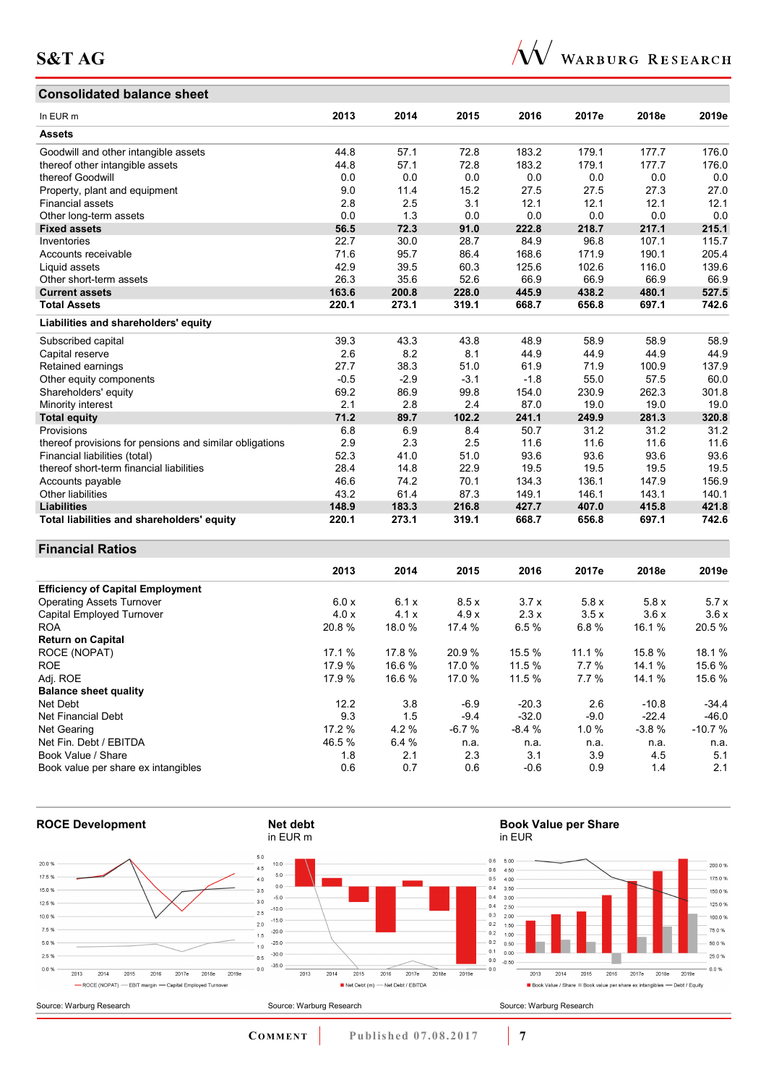# **Consolidated balance sheet**



| In EUR <sub>m</sub>                                     | 2013   | 2014   | 2015   | 2016   | 2017e | 2018e | 2019e |
|---------------------------------------------------------|--------|--------|--------|--------|-------|-------|-------|
| <b>Assets</b>                                           |        |        |        |        |       |       |       |
| Goodwill and other intangible assets                    | 44.8   | 57.1   | 72.8   | 183.2  | 179.1 | 177.7 | 176.0 |
| thereof other intangible assets                         | 44.8   | 57.1   | 72.8   | 183.2  | 179.1 | 177.7 | 176.0 |
| thereof Goodwill                                        | 0.0    | 0.0    | 0.0    | 0.0    | 0.0   | 0.0   | 0.0   |
| Property, plant and equipment                           | 9.0    | 11.4   | 15.2   | 27.5   | 27.5  | 27.3  | 27.0  |
| <b>Financial assets</b>                                 | 2.8    | 2.5    | 3.1    | 12.1   | 12.1  | 12.1  | 12.1  |
| Other long-term assets                                  | 0.0    | 1.3    | 0.0    | 0.0    | 0.0   | 0.0   | 0.0   |
| <b>Fixed assets</b>                                     | 56.5   | 72.3   | 91.0   | 222.8  | 218.7 | 217.1 | 215.1 |
| Inventories                                             | 22.7   | 30.0   | 28.7   | 84.9   | 96.8  | 107.1 | 115.7 |
| Accounts receivable                                     | 71.6   | 95.7   | 86.4   | 168.6  | 171.9 | 190.1 | 205.4 |
| Liquid assets                                           | 42.9   | 39.5   | 60.3   | 125.6  | 102.6 | 116.0 | 139.6 |
| Other short-term assets                                 | 26.3   | 35.6   | 52.6   | 66.9   | 66.9  | 66.9  | 66.9  |
| <b>Current assets</b>                                   | 163.6  | 200.8  | 228.0  | 445.9  | 438.2 | 480.1 | 527.5 |
| <b>Total Assets</b>                                     | 220.1  | 273.1  | 319.1  | 668.7  | 656.8 | 697.1 | 742.6 |
| Liabilities and shareholders' equity                    |        |        |        |        |       |       |       |
| Subscribed capital                                      | 39.3   | 43.3   | 43.8   | 48.9   | 58.9  | 58.9  | 58.9  |
| Capital reserve                                         | 2.6    | 8.2    | 8.1    | 44.9   | 44.9  | 44.9  | 44.9  |
| Retained earnings                                       | 27.7   | 38.3   | 51.0   | 61.9   | 71.9  | 100.9 | 137.9 |
| Other equity components                                 | $-0.5$ | $-2.9$ | $-3.1$ | $-1.8$ | 55.0  | 57.5  | 60.0  |
| Shareholders' equity                                    | 69.2   | 86.9   | 99.8   | 154.0  | 230.9 | 262.3 | 301.8 |
| Minority interest                                       | 2.1    | 2.8    | 2.4    | 87.0   | 19.0  | 19.0  | 19.0  |
| <b>Total equity</b>                                     | 71.2   | 89.7   | 102.2  | 241.1  | 249.9 | 281.3 | 320.8 |
| Provisions                                              | 6.8    | 6.9    | 8.4    | 50.7   | 31.2  | 31.2  | 31.2  |
| thereof provisions for pensions and similar obligations | 2.9    | 2.3    | 2.5    | 11.6   | 11.6  | 11.6  | 11.6  |
| Financial liabilities (total)                           | 52.3   | 41.0   | 51.0   | 93.6   | 93.6  | 93.6  | 93.6  |
| thereof short-term financial liabilities                | 28.4   | 14.8   | 22.9   | 19.5   | 19.5  | 19.5  | 19.5  |
| Accounts payable                                        | 46.6   | 74.2   | 70.1   | 134.3  | 136.1 | 147.9 | 156.9 |
| <b>Other liabilities</b>                                | 43.2   | 61.4   | 87.3   | 149.1  | 146.1 | 143.1 | 140.1 |
| <b>Liabilities</b>                                      | 148.9  | 183.3  | 216.8  | 427.7  | 407.0 | 415.8 | 421.8 |
| Total liabilities and shareholders' equity              | 220.1  | 273.1  | 319.1  | 668.7  | 656.8 | 697.1 | 742.6 |

#### **Financial Ratios**

|                                         | 2013   | 2014   | 2015   | 2016    | 2017e  | 2018e   | 2019e    |
|-----------------------------------------|--------|--------|--------|---------|--------|---------|----------|
| <b>Efficiency of Capital Employment</b> |        |        |        |         |        |         |          |
| <b>Operating Assets Turnover</b>        | 6.0 x  | 6.1x   | 8.5x   | 3.7x    | 5.8x   | 5.8x    | 5.7x     |
| Capital Employed Turnover               | 4.0x   | 4.1x   | 4.9x   | 2.3x    | 3.5x   | 3.6x    | 3.6x     |
| <b>ROA</b>                              | 20.8%  | 18.0 % | 17.4 % | 6.5%    | 6.8%   | 16.1%   | 20.5 %   |
| <b>Return on Capital</b>                |        |        |        |         |        |         |          |
| ROCE (NOPAT)                            | 17.1%  | 17.8%  | 20.9%  | 15.5 %  | 11.1 % | 15.8%   | 18.1 %   |
| <b>ROE</b>                              | 17.9 % | 16.6 % | 17.0 % | 11.5%   | 7.7%   | 14.1 %  | 15.6 %   |
| Adj. ROE                                | 17.9 % | 16.6 % | 17.0 % | 11.5%   | 7.7%   | 14.1 %  | 15.6 %   |
| <b>Balance sheet quality</b>            |        |        |        |         |        |         |          |
| Net Debt                                | 12.2   | 3.8    | $-6.9$ | $-20.3$ | 2.6    | $-10.8$ | $-34.4$  |
| Net Financial Debt                      | 9.3    | 1.5    | $-9.4$ | $-32.0$ | $-9.0$ | $-22.4$ | $-46.0$  |
| Net Gearing                             | 17.2 % | 4.2%   | -6.7 % | $-8.4%$ | 1.0%   | $-3.8%$ | $-10.7%$ |
| Net Fin. Debt / EBITDA                  | 46.5 % | 6.4%   | n.a.   | n.a.    | n.a.   | n.a.    | n.a.     |
| Book Value / Share                      | 1.8    | 2.1    | 2.3    | 3.1     | 3.9    | 4.5     | 5.1      |
| Book value per share ex intangibles     | 0.6    | 0.7    | 0.6    | $-0.6$  | 0.9    | 1.4     | 2.1      |

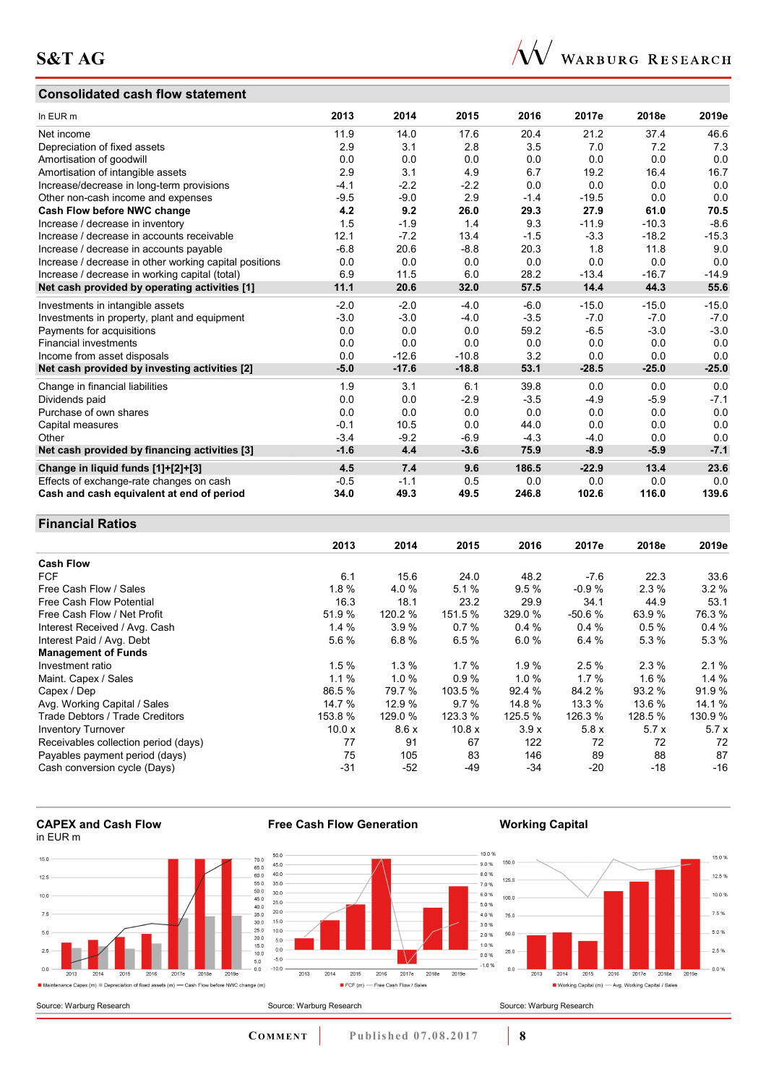## **Consolidated cash flow statement**



| In EUR m                                               | 2013   | 2014    | 2015    | 2016   | 2017e   | 2018e   | 2019e   |
|--------------------------------------------------------|--------|---------|---------|--------|---------|---------|---------|
| Net income                                             | 11.9   | 14.0    | 17.6    | 20.4   | 21.2    | 37.4    | 46.6    |
| Depreciation of fixed assets                           | 2.9    | 3.1     | 2.8     | 3.5    | 7.0     | 7.2     | 7.3     |
| Amortisation of goodwill                               | 0.0    | 0.0     | 0.0     | 0.0    | 0.0     | 0.0     | 0.0     |
| Amortisation of intangible assets                      | 2.9    | 3.1     | 4.9     | 6.7    | 19.2    | 16.4    | 16.7    |
| Increase/decrease in long-term provisions              | $-4.1$ | $-2.2$  | $-2.2$  | 0.0    | 0.0     | 0.0     | 0.0     |
| Other non-cash income and expenses                     | $-9.5$ | $-9.0$  | 2.9     | $-1.4$ | $-19.5$ | 0.0     | 0.0     |
| Cash Flow before NWC change                            | 4.2    | 9.2     | 26.0    | 29.3   | 27.9    | 61.0    | 70.5    |
| Increase / decrease in inventory                       | 1.5    | $-1.9$  | 1.4     | 9.3    | $-11.9$ | $-10.3$ | $-8.6$  |
| Increase / decrease in accounts receivable             | 12.1   | $-7.2$  | 13.4    | $-1.5$ | $-3.3$  | $-18.2$ | $-15.3$ |
| Increase / decrease in accounts payable                | $-6.8$ | 20.6    | $-8.8$  | 20.3   | 1.8     | 11.8    | 9.0     |
| Increase / decrease in other working capital positions | 0.0    | 0.0     | 0.0     | 0.0    | 0.0     | 0.0     | 0.0     |
| Increase / decrease in working capital (total)         | 6.9    | 11.5    | 6.0     | 28.2   | $-13.4$ | $-16.7$ | $-14.9$ |
| Net cash provided by operating activities [1]          | 11.1   | 20.6    | 32.0    | 57.5   | 14.4    | 44.3    | 55.6    |
| Investments in intangible assets                       | $-2.0$ | $-2.0$  | $-4.0$  | $-6.0$ | $-15.0$ | $-15.0$ | $-15.0$ |
| Investments in property, plant and equipment           | $-3.0$ | $-3.0$  | $-4.0$  | $-3.5$ | $-7.0$  | $-7.0$  | $-7.0$  |
| Payments for acquisitions                              | 0.0    | 0.0     | 0.0     | 59.2   | $-6.5$  | $-3.0$  | $-3.0$  |
| <b>Financial investments</b>                           | 0.0    | 0.0     | 0.0     | 0.0    | 0.0     | 0.0     | 0.0     |
| Income from asset disposals                            | 0.0    | $-12.6$ | $-10.8$ | 3.2    | 0.0     | 0.0     | 0.0     |
| Net cash provided by investing activities [2]          | $-5.0$ | $-17.6$ | $-18.8$ | 53.1   | $-28.5$ | $-25.0$ | $-25.0$ |
| Change in financial liabilities                        | 1.9    | 3.1     | 6.1     | 39.8   | 0.0     | 0.0     | 0.0     |
| Dividends paid                                         | 0.0    | 0.0     | $-2.9$  | $-3.5$ | $-4.9$  | $-5.9$  | $-7.1$  |
| Purchase of own shares                                 | 0.0    | 0.0     | 0.0     | 0.0    | 0.0     | 0.0     | 0.0     |
| Capital measures                                       | $-0.1$ | 10.5    | 0.0     | 44.0   | 0.0     | 0.0     | 0.0     |
| Other                                                  | $-3.4$ | $-9.2$  | $-6.9$  | $-4.3$ | $-4.0$  | 0.0     | 0.0     |
| Net cash provided by financing activities [3]          | $-1.6$ | 4.4     | $-3.6$  | 75.9   | $-8.9$  | $-5.9$  | $-7.1$  |
| Change in liquid funds [1]+[2]+[3]                     | 4.5    | 7.4     | 9.6     | 186.5  | $-22.9$ | 13.4    | 23.6    |
| Effects of exchange-rate changes on cash               | $-0.5$ | $-1.1$  | 0.5     | 0.0    | 0.0     | 0.0     | 0.0     |
| Cash and cash equivalent at end of period              | 34.0   | 49.3    | 49.5    | 246.8  | 102.6   | 116.0   | 139.6   |

## **Financial Ratios**

|                                      | 2013   | 2014     | 2015    | 2016    | 2017e    | 2018e   | 2019e   |
|--------------------------------------|--------|----------|---------|---------|----------|---------|---------|
| <b>Cash Flow</b>                     |        |          |         |         |          |         |         |
| <b>FCF</b>                           | 6.1    | 15.6     | 24.0    | 48.2    | $-7.6$   | 22.3    | 33.6    |
| Free Cash Flow / Sales               | 1.8%   | 4.0%     | 5.1%    | 9.5%    | $-0.9%$  | $2.3\%$ | $3.2\%$ |
| Free Cash Flow Potential             | 16.3   | 18.1     | 23.2    | 29.9    | 34.1     | 44.9    | 53.1    |
| Free Cash Flow / Net Profit          | 51.9%  | 120.2 %  | 151.5 % | 329.0 % | $-50.6%$ | 63.9%   | 76.3%   |
| Interest Received / Avg. Cash        | 1.4%   | 3.9%     | 0.7%    | 0.4%    | 0.4%     | 0.5%    | 0.4%    |
| Interest Paid / Avg. Debt            | 5.6%   | 6.8%     | 6.5%    | 6.0%    | 6.4%     | 5.3%    | 5.3%    |
| <b>Management of Funds</b>           |        |          |         |         |          |         |         |
| Investment ratio                     | 1.5%   | $1.3\%$  | 1.7%    | 1.9%    | 2.5%     | 2.3%    | 2.1%    |
| Maint. Capex / Sales                 | 1.1%   | $1.0 \%$ | 0.9%    | 1.0%    | 1.7%     | 1.6%    | 1.4%    |
| Capex / Dep                          | 86.5%  | 79.7 %   | 103.5 % | 92.4 %  | 84.2 %   | 93.2 %  | 91.9%   |
| Avg. Working Capital / Sales         | 14.7 % | 12.9 %   | 9.7%    | 14.8 %  | 13.3%    | 13.6 %  | 14.1 %  |
| Trade Debtors / Trade Creditors      | 153.8% | 129.0 %  | 123.3 % | 125.5 % | 126.3 %  | 128.5 % | 130.9%  |
| <b>Inventory Turnover</b>            | 10.0 x | 8.6x     | 10.8x   | 3.9x    | 5.8x     | 5.7x    | 5.7x    |
| Receivables collection period (days) | 77     | 91       | 67      | 122     | 72       | 72      | 72      |
| Payables payment period (days)       | 75     | 105      | 83      | 146     | 89       | 88      | 87      |
| Cash conversion cycle (Days)         | $-31$  | $-52$    | $-49$   | $-34$   | $-20$    | -18     | $-16$   |

**Free Cash Flow Generation** 









**COMMENT** Published 07.08.2017 **8** 

2016 2017e 2018e 2019e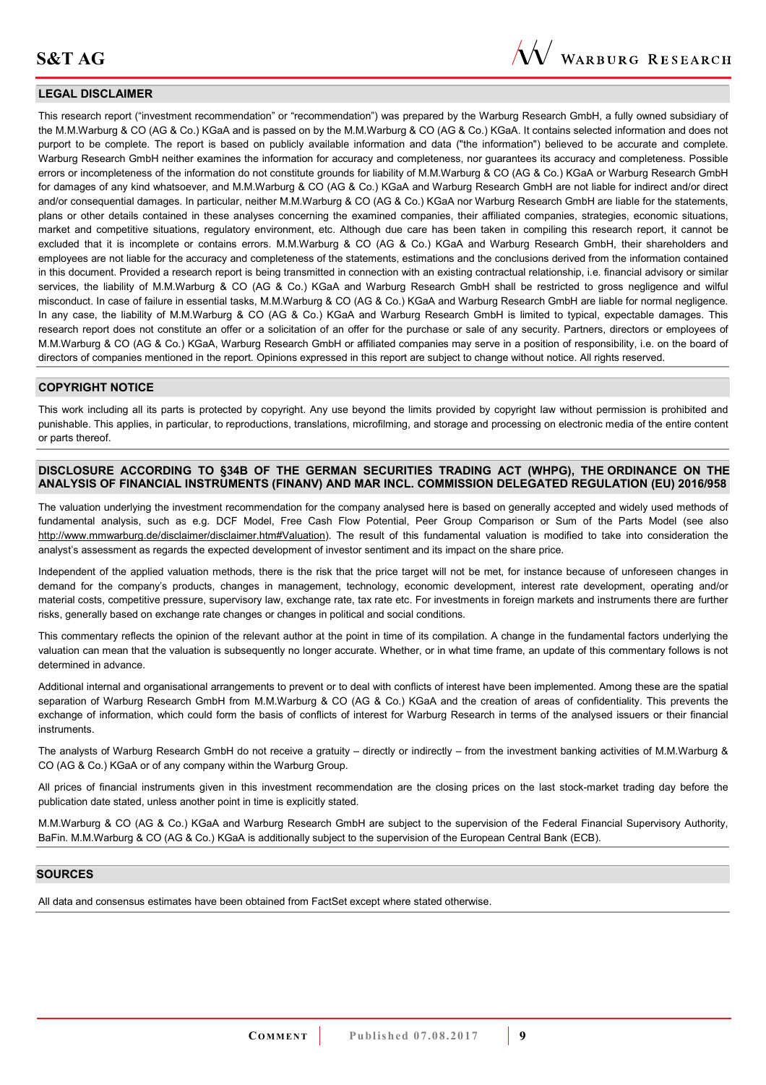

#### **LEGAL DISCLAIMER**

This research report ("investment recommendation" or "recommendation") was prepared by the Warburg Research GmbH, a fully owned subsidiary of the M.M.Warburg & CO (AG & Co.) KGaA and is passed on by the M.M.Warburg & CO (AG & Co.) KGaA. It contains selected information and does not purport to be complete. The report is based on publicly available information and data ("the information") believed to be accurate and complete. Warburg Research GmbH neither examines the information for accuracy and completeness, nor guarantees its accuracy and completeness. Possible errors or incompleteness of the information do not constitute grounds for liability of M.M.Warburg & CO (AG & Co.) KGaA or Warburg Research GmbH for damages of any kind whatsoever, and M.M.Warburg & CO (AG & Co.) KGaA and Warburg Research GmbH are not liable for indirect and/or direct and/or consequential damages. In particular, neither M.M.Warburg & CO (AG & Co.) KGaA nor Warburg Research GmbH are liable for the statements, plans or other details contained in these analyses concerning the examined companies, their affiliated companies, strategies, economic situations, market and competitive situations, regulatory environment, etc. Although due care has been taken in compiling this research report, it cannot be excluded that it is incomplete or contains errors. M.M.Warburg & CO (AG & Co.) KGaA and Warburg Research GmbH, their shareholders and employees are not liable for the accuracy and completeness of the statements, estimations and the conclusions derived from the information contained in this document. Provided a research report is being transmitted in connection with an existing contractual relationship, i.e. financial advisory or similar services, the liability of M.M.Warburg & CO (AG & Co.) KGaA and Warburg Research GmbH shall be restricted to gross negligence and wilful misconduct. In case of failure in essential tasks, M.M.Warburg & CO (AG & Co.) KGaA and Warburg Research GmbH are liable for normal negligence. In any case, the liability of M.M.Warburg & CO (AG & Co.) KGaA and Warburg Research GmbH is limited to typical, expectable damages. This research report does not constitute an offer or a solicitation of an offer for the purchase or sale of any security. Partners, directors or employees of M.M.Warburg & CO (AG & Co.) KGaA, Warburg Research GmbH or affiliated companies may serve in a position of responsibility, i.e. on the board of directors of companies mentioned in the report. Opinions expressed in this report are subject to change without notice. All rights reserved.

#### **COPYRIGHT NOTICE**

This work including all its parts is protected by copyright. Any use beyond the limits provided by copyright law without permission is prohibited and punishable. This applies, in particular, to reproductions, translations, microfilming, and storage and processing on electronic media of the entire content or parts thereof.

#### **DISCLOSURE ACCORDING TO §34B OF THE GERMAN SECURITIES TRADING ACT (WHPG), THE ORDINANCE ON THE ANALYSIS OF FINANCIAL INSTRUMENTS (FINANV) AND MAR INCL. COMMISSION DELEGATED REGULATION (EU) 2016/958**

The valuation underlying the investment recommendation for the company analysed here is based on generally accepted and widely used methods of fundamental analysis, such as e.g. DCF Model, Free Cash Flow Potential, Peer Group Comparison or Sum of the Parts Model (see also <http://www.mmwarburg.de/disclaimer/disclaimer.htm#Valuation>). The result of this fundamental valuation is modified to take into consideration the analyst's assessment as regards the expected development of investor sentiment and its impact on the share price.

Independent of the applied valuation methods, there is the risk that the price target will not be met, for instance because of unforeseen changes in demand for the company's products, changes in management, technology, economic development, interest rate development, operating and/or material costs, competitive pressure, supervisory law, exchange rate, tax rate etc. For investments in foreign markets and instruments there are further risks, generally based on exchange rate changes or changes in political and social conditions.

This commentary reflects the opinion of the relevant author at the point in time of its compilation. A change in the fundamental factors underlying the valuation can mean that the valuation is subsequently no longer accurate. Whether, or in what time frame, an update of this commentary follows is not determined in advance.

Additional internal and organisational arrangements to prevent or to deal with conflicts of interest have been implemented. Among these are the spatial separation of Warburg Research GmbH from M.M.Warburg & CO (AG & Co.) KGaA and the creation of areas of confidentiality. This prevents the exchange of information, which could form the basis of conflicts of interest for Warburg Research in terms of the analysed issuers or their financial instruments.

The analysts of Warburg Research GmbH do not receive a gratuity – directly or indirectly – from the investment banking activities of M.M.Warburg & CO (AG & Co.) KGaA or of any company within the Warburg Group.

All prices of financial instruments given in this investment recommendation are the closing prices on the last stock-market trading day before the publication date stated, unless another point in time is explicitly stated.

M.M.Warburg & CO (AG & Co.) KGaA and Warburg Research GmbH are subject to the supervision of the Federal Financial Supervisory Authority, BaFin. M.M.Warburg & CO (AG & Co.) KGaA is additionally subject to the supervision of the European Central Bank (ECB).

#### **SOURCES**

All data and consensus estimates have been obtained from FactSet except where stated otherwise.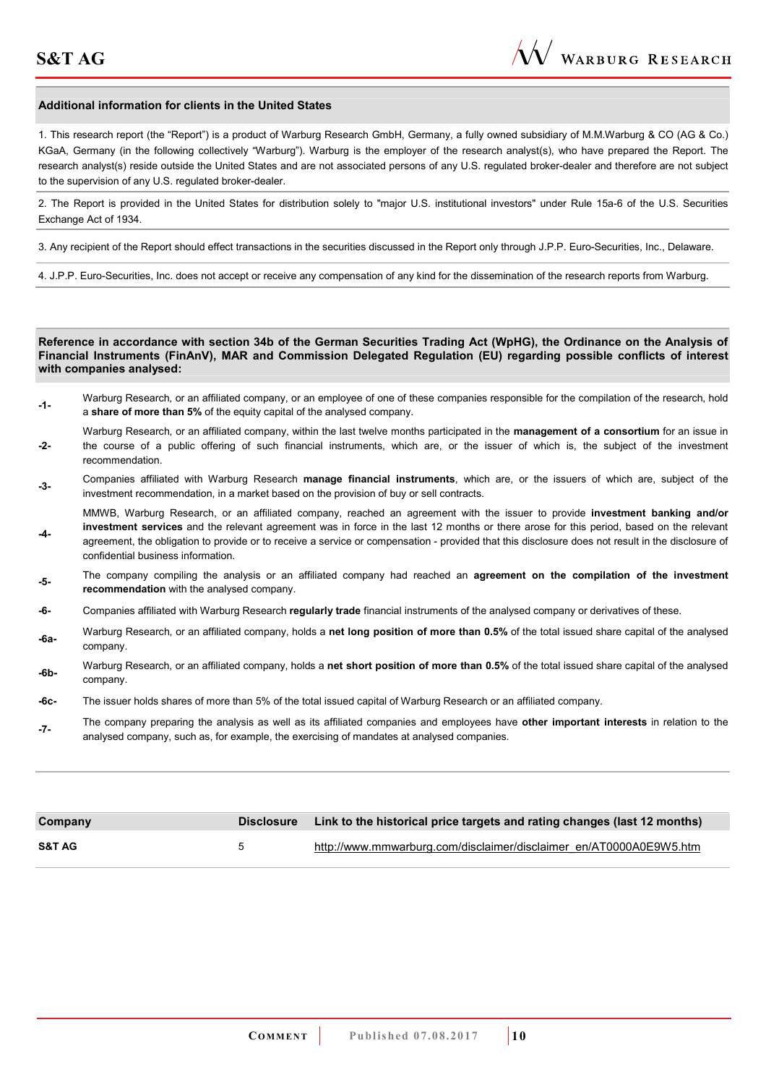#### **Additional information for clients in the United States**

1. This research report (the "Report") is a product of Warburg Research GmbH, Germany, a fully owned subsidiary of M.M.Warburg & CO (AG & Co.) KGaA, Germany (in the following collectively "Warburg"). Warburg is the employer of the research analyst(s), who have prepared the Report. The research analyst(s) reside outside the United States and are not associated persons of any U.S. regulated broker-dealer and therefore are not subject to the supervision of any U.S. regulated broker-dealer.

2. The Report is provided in the United States for distribution solely to "major U.S. institutional investors" under Rule 15a-6 of the U.S. Securities Exchange Act of 1934.

3. Any recipient of the Report should effect transactions in the securities discussed in the Report only through J.P.P. Euro-Securities, Inc., Delaware.

4. J.P.P. Euro-Securities, Inc. does not accept or receive any compensation of any kind for the dissemination of the research reports from Warburg.

#### **Reference in accordance with section 34b of the German Securities Trading Act (WpHG), the Ordinance on the Analysis of Financial Instruments (FinAnV), MAR and Commission Delegated Regulation (EU) regarding possible conflicts of interest with companies analysed:**

- **-1-** Warburg Research, or an affiliated company, or an employee of one of these companies responsible for the compilation of the research, hold a **share of more than 5%** of the equity capital of the analysed company.
- **-2-**  Warburg Research, or an affiliated company, within the last twelve months participated in the **management of a consortium** for an issue in the course of a public offering of such financial instruments, which are, or the issuer of which is, the subject of the investment recommendation.
- **-3-** Companies affiliated with Warburg Research **manage financial instruments**, which are, or the issuers of which are, subject of the investment recommendation, in a market based on the provision of buy or sell contracts.

**-4-**  MMWB, Warburg Research, or an affiliated company, reached an agreement with the issuer to provide **investment banking and/or investment services** and the relevant agreement was in force in the last 12 months or there arose for this period, based on the relevant agreement, the obligation to provide or to receive a service or compensation - provided that this disclosure does not result in the disclosure of confidential business information.

- **-5-** The company compiling the analysis or an affiliated company had reached an **agreement on the compilation of the investment recommendation** with the analysed company.
- **-6-** Companies affiliated with Warburg Research **regularly trade** financial instruments of the analysed company or derivatives of these.
- **-6a-** Warburg Research, or an affiliated company, holds a **net long position of more than 0.5%** of the total issued share capital of the analysed company.
- **-6b-** Warburg Research, or an affiliated company, holds a **net short position of more than 0.5%** of the total issued share capital of the analysed company.
- **-6c-** The issuer holds shares of more than 5% of the total issued capital of Warburg Research or an affiliated company.
- **-7-** The company preparing the analysis as well as its affiliated companies and employees have **other important interests** in relation to the analysed company, such as, for example, the exercising of mandates at analysed companies.

| Company | <b>Disclosure</b> | Link to the historical price targets and rating changes (last 12 months) |
|---------|-------------------|--------------------------------------------------------------------------|
| S&T AG  | $\mathbf{r}$      | http://www.mmwarburg.com/disclaimer/disclaimer en/AT0000A0E9W5.htm       |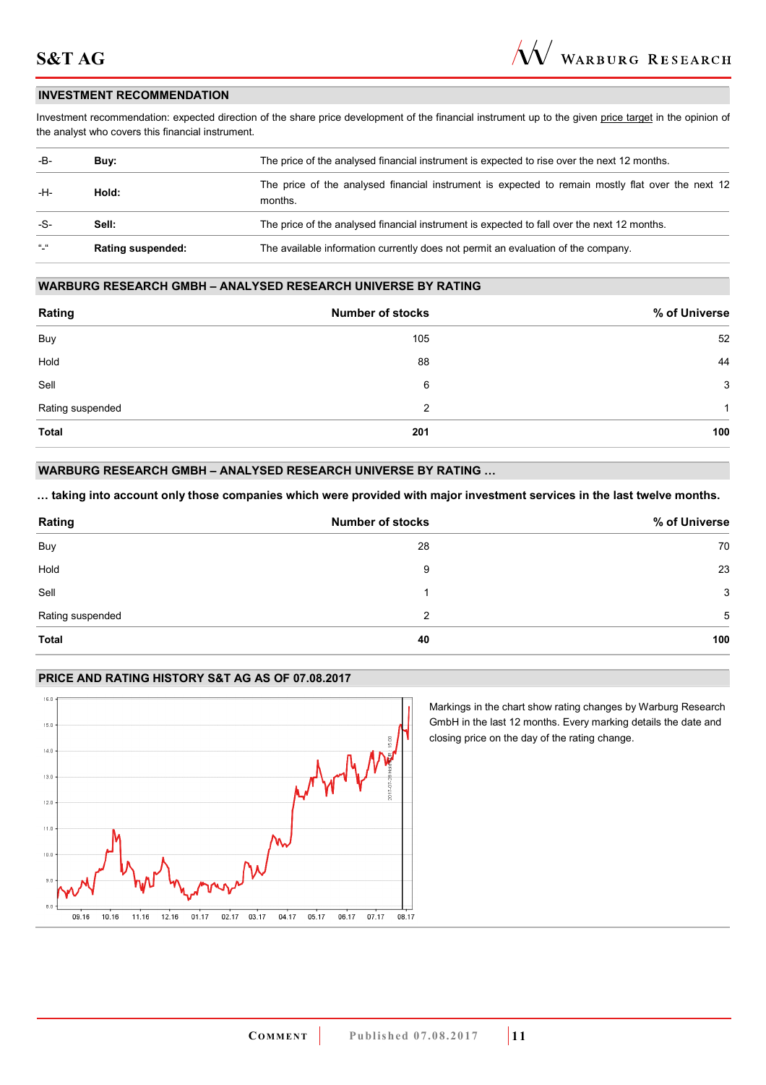#### **INVESTMENT RECOMMENDATION**

Investment recommendation: expected direction of the share price development of the financial instrument up to the given price target in the opinion of the analyst who covers this financial instrument.

| -B-           | Buv:                     | The price of the analysed financial instrument is expected to rise over the next 12 months.                  |
|---------------|--------------------------|--------------------------------------------------------------------------------------------------------------|
| -H-           | Hold:                    | The price of the analysed financial instrument is expected to remain mostly flat over the next 12<br>months. |
| -S-           | Sell:                    | The price of the analysed financial instrument is expected to fall over the next 12 months.                  |
| $\frac{1}{2}$ | <b>Rating suspended:</b> | The available information currently does not permit an evaluation of the company.                            |

#### **WARBURG RESEARCH GMBH – ANALYSED RESEARCH UNIVERSE BY RATING**

| Rating           | <b>Number of stocks</b> | % of Universe |
|------------------|-------------------------|---------------|
| Buy              | 105                     | 52            |
| Hold             | 88                      | 44            |
| Sell             | 6                       | 3             |
| Rating suspended | $\overline{2}$          | 1             |
| <b>Total</b>     | 201                     | 100           |

#### **WARBURG RESEARCH GMBH - ANALYSED RESEARCH UNIVERSE BY RATING ...**

**M taking into account only those companies which were provided with major investment services in the last twelve months.** 

| Rating           | <b>Number of stocks</b> | % of Universe |
|------------------|-------------------------|---------------|
| Buy              | 28                      | 70            |
| Hold             | 9                       | 23            |
| Sell             |                         | 3             |
| Rating suspended | 2                       | 5             |
| <b>Total</b>     | 40                      | 100           |

### **PRICE AND RATING HISTORY S&T AG AS OF 07.08.2017**



Markings in the chart show rating changes by Warburg Research GmbH in the last 12 months. Every marking details the date and closing price on the day of the rating change.